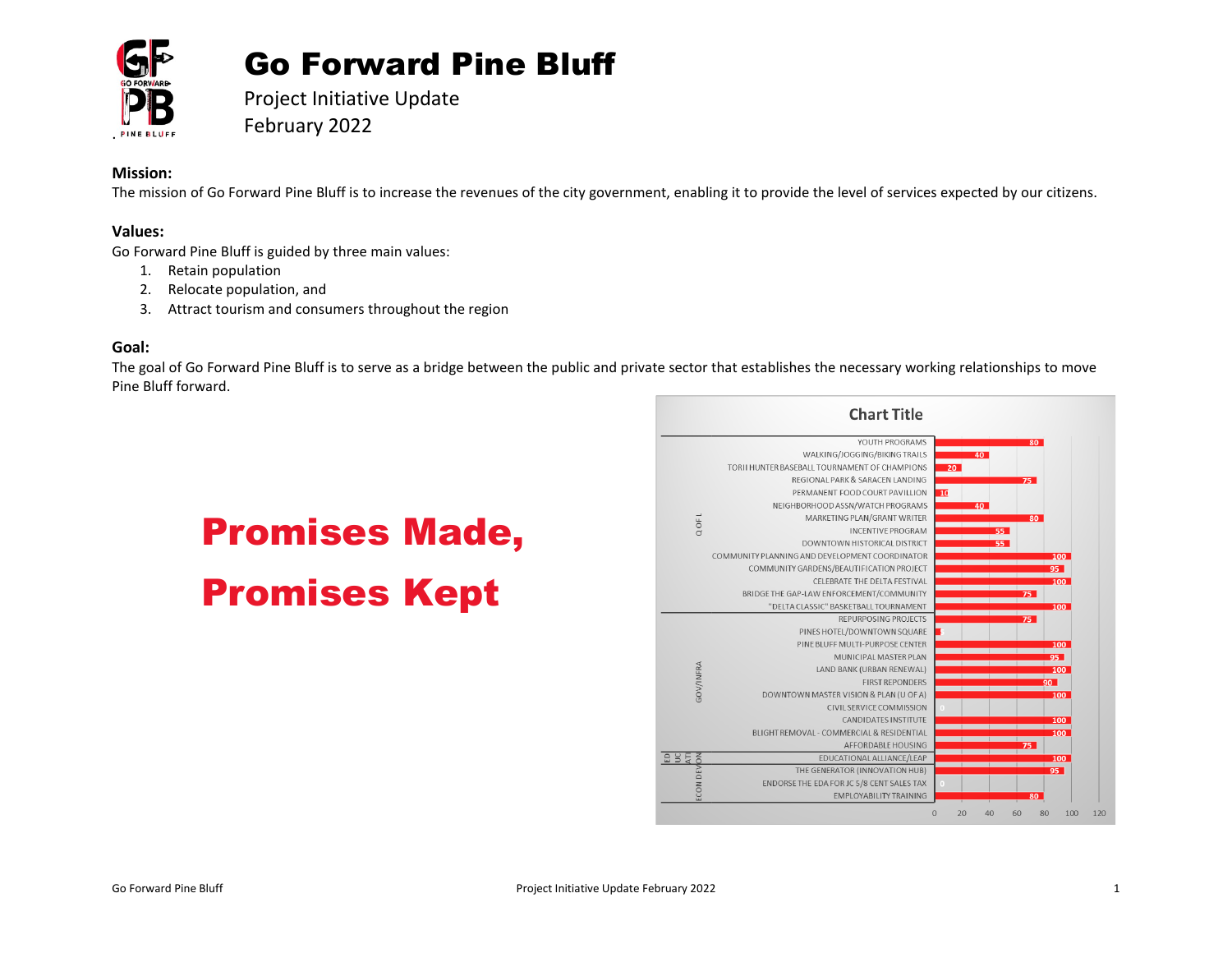

# Go Forward Pine Bluff

Project Initiative Update February 2022

# **Mission:**

The mission of Go Forward Pine Bluff is to increase the revenues of the city government, enabling it to provide the level of services expected by our citizens.

# **Values:**

Go Forward Pine Bluff is guided by three main values:

- 1. Retain population
- 2. Relocate population, and
- 3. Attract tourism and consumers throughout the region

#### **Goal:**

The goal of Go Forward Pine Bluff is to serve as a bridge between the public and private sector that establishes the necessary working relationships to move Pine Bluff forward.

# Promises Made, Promises Kept

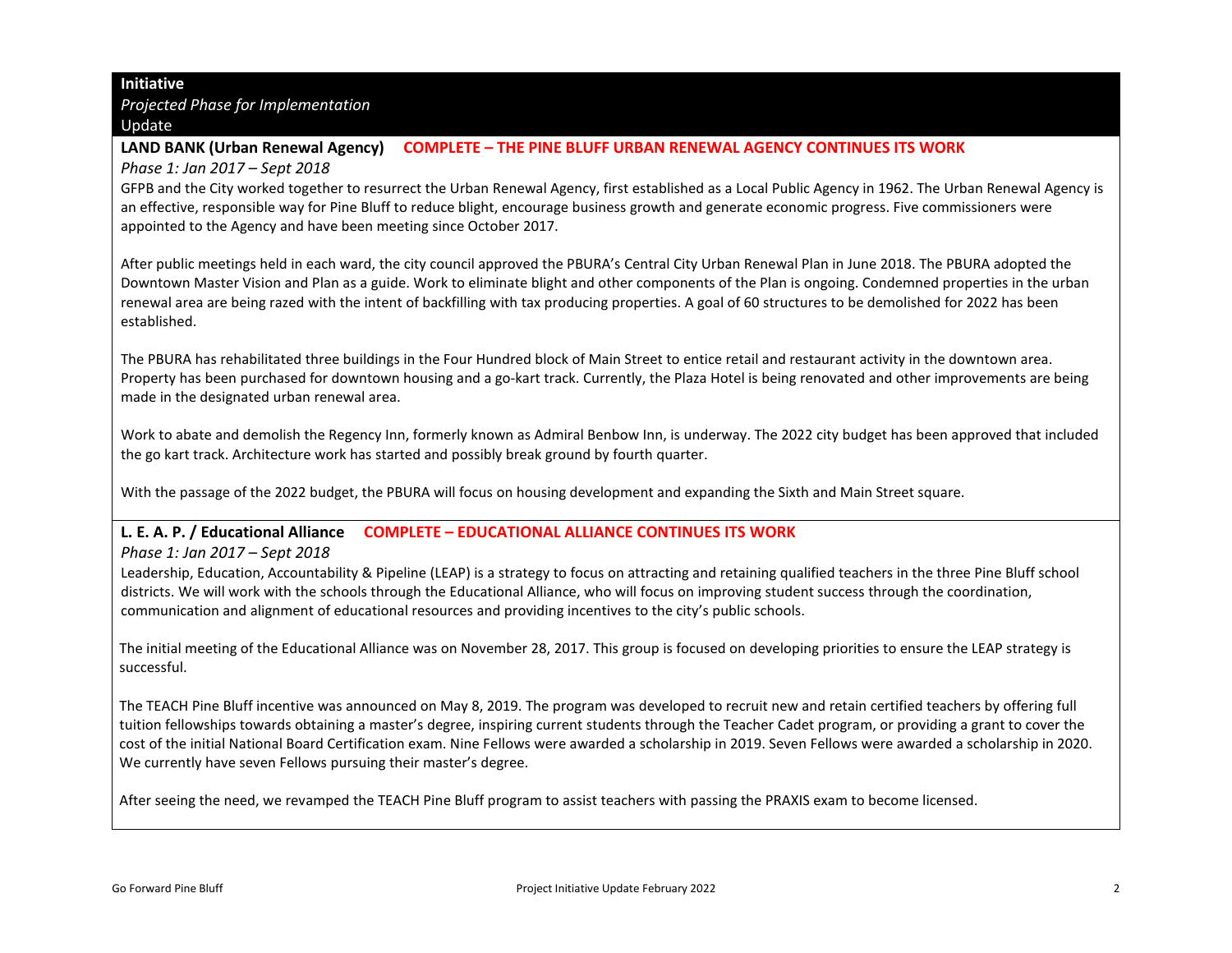#### **Initiative**

*Projected Phase for Implementation* **Update** 

#### **LAND BANK (Urban Renewal Agency) COMPLETE – THE PINE BLUFF URBAN RENEWAL AGENCY CONTINUES ITS WORK**

*Phase 1: Jan 2017 – Sept 2018*

GFPB and the City worked together to resurrect the Urban Renewal Agency, first established as a Local Public Agency in 1962. The Urban Renewal Agency is an effective, responsible way for Pine Bluff to reduce blight, encourage business growth and generate economic progress. Five commissioners were appointed to the Agency and have been meeting since October 2017.

After public meetings held in each ward, the city council approved the PBURA's Central City Urban Renewal Plan in June 2018. The PBURA adopted the Downtown Master Vision and Plan as a guide. Work to eliminate blight and other components of the Plan is ongoing. Condemned properties in the urban renewal area are being razed with the intent of backfilling with tax producing properties. A goal of 60 structures to be demolished for 2022 has been established.

The PBURA has rehabilitated three buildings in the Four Hundred block of Main Street to entice retail and restaurant activity in the downtown area. Property has been purchased for downtown housing and a go-kart track. Currently, the Plaza Hotel is being renovated and other improvements are being made in the designated urban renewal area.

Work to abate and demolish the Regency Inn, formerly known as Admiral Benbow Inn, is underway. The 2022 city budget has been approved that included the go kart track. Architecture work has started and possibly break ground by fourth quarter.

With the passage of the 2022 budget, the PBURA will focus on housing development and expanding the Sixth and Main Street square.

# **L. E. A. P. / Educational Alliance COMPLETE – EDUCATIONAL ALLIANCE CONTINUES ITS WORK**

*Phase 1: Jan 2017 – Sept 2018*

Leadership, Education, Accountability & Pipeline (LEAP) is a strategy to focus on attracting and retaining qualified teachers in the three Pine Bluff school districts. We will work with the schools through the Educational Alliance, who will focus on improving student success through the coordination, communication and alignment of educational resources and providing incentives to the city's public schools.

The initial meeting of the Educational Alliance was on November 28, 2017. This group is focused on developing priorities to ensure the LEAP strategy is successful.

The TEACH Pine Bluff incentive was announced on May 8, 2019. The program was developed to recruit new and retain certified teachers by offering full tuition fellowships towards obtaining a master's degree, inspiring current students through the Teacher Cadet program, or providing a grant to cover the cost of the initial National Board Certification exam. Nine Fellows were awarded a scholarship in 2019. Seven Fellows were awarded a scholarship in 2020. We currently have seven Fellows pursuing their master's degree.

After seeing the need, we revamped the TEACH Pine Bluff program to assist teachers with passing the PRAXIS exam to become licensed.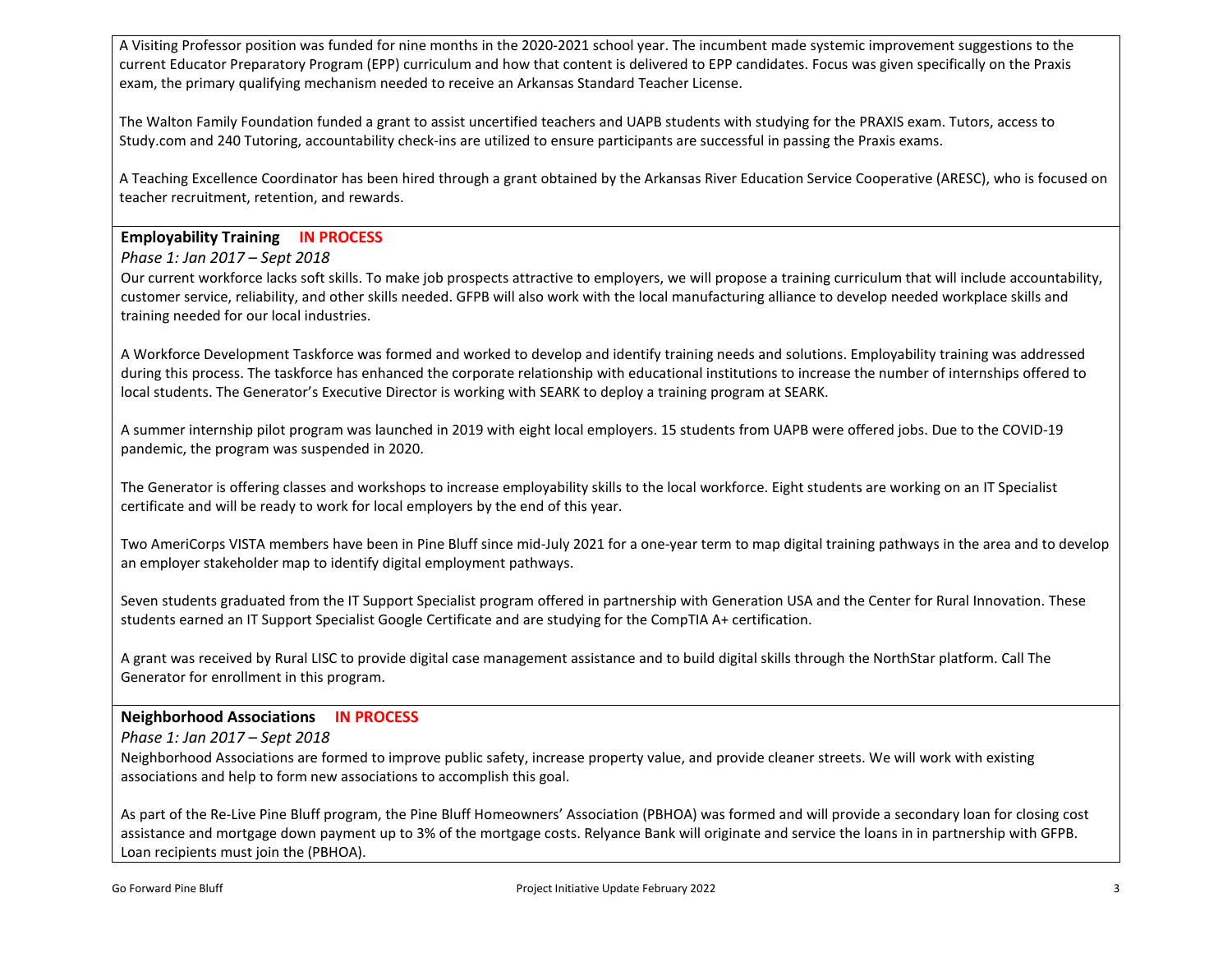A Visiting Professor position was funded for nine months in the 2020-2021 school year. The incumbent made systemic improvement suggestions to the current Educator Preparatory Program (EPP) curriculum and how that content is delivered to EPP candidates. Focus was given specifically on the Praxis exam, the primary qualifying mechanism needed to receive an Arkansas Standard Teacher License.

The Walton Family Foundation funded a grant to assist uncertified teachers and UAPB students with studying for the PRAXIS exam. Tutors, access to Study.com and 240 Tutoring, accountability check-ins are utilized to ensure participants are successful in passing the Praxis exams.

A Teaching Excellence Coordinator has been hired through a grant obtained by the Arkansas River Education Service Cooperative (ARESC), who is focused on teacher recruitment, retention, and rewards.

# **Employability Training IN PROCESS**

*Phase 1: Jan 2017 – Sept 2018*

Our current workforce lacks soft skills. To make job prospects attractive to employers, we will propose a training curriculum that will include accountability, customer service, reliability, and other skills needed. GFPB will also work with the local manufacturing alliance to develop needed workplace skills and training needed for our local industries.

A Workforce Development Taskforce was formed and worked to develop and identify training needs and solutions. Employability training was addressed during this process. The taskforce has enhanced the corporate relationship with educational institutions to increase the number of internships offered to local students. The Generator's Executive Director is working with SEARK to deploy a training program at SEARK.

A summer internship pilot program was launched in 2019 with eight local employers. 15 students from UAPB were offered jobs. Due to the COVID-19 pandemic, the program was suspended in 2020.

The Generator is offering classes and workshops to increase employability skills to the local workforce. Eight students are working on an IT Specialist certificate and will be ready to work for local employers by the end of this year.

Two AmeriCorps VISTA members have been in Pine Bluff since mid-July 2021 for a one-year term to map digital training pathways in the area and to develop an employer stakeholder map to identify digital employment pathways.

Seven students graduated from the IT Support Specialist program offered in partnership with Generation USA and the Center for Rural Innovation. These students earned an IT Support Specialist Google Certificate and are studying for the CompTIA A+ certification.

A grant was received by Rural LISC to provide digital case management assistance and to build digital skills through the NorthStar platform. Call The Generator for enrollment in this program.

# **Neighborhood Associations IN PROCESS**

*Phase 1: Jan 2017 – Sept 2018*

Neighborhood Associations are formed to improve public safety, increase property value, and provide cleaner streets. We will work with existing associations and help to form new associations to accomplish this goal.

As part of the Re-Live Pine Bluff program, the Pine Bluff Homeowners' Association (PBHOA) was formed and will provide a secondary loan for closing cost assistance and mortgage down payment up to 3% of the mortgage costs. Relyance Bank will originate and service the loans in in partnership with GFPB. Loan recipients must join the (PBHOA).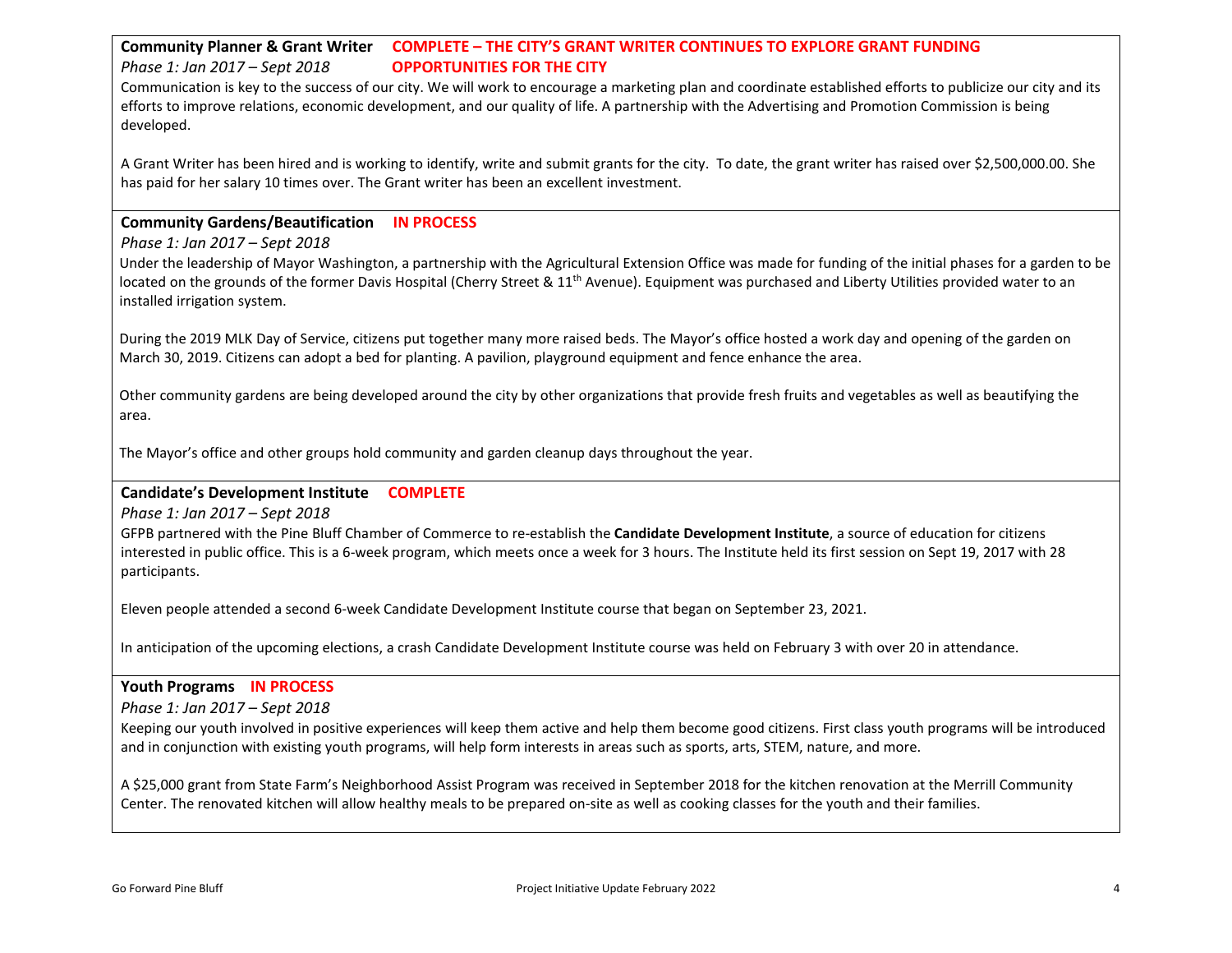# **Community Planner & Grant Writer COMPLETE – THE CITY'S GRANT WRITER CONTINUES TO EXPLORE GRANT FUNDING**  *Phase 1: Jan 2017 – Sept 2018* **OPPORTUNITIES FOR THE CITY**

Communication is key to the success of our city. We will work to encourage a marketing plan and coordinate established efforts to publicize our city and its efforts to improve relations, economic development, and our quality of life. A partnership with the Advertising and Promotion Commission is being developed.

A Grant Writer has been hired and is working to identify, write and submit grants for the city. To date, the grant writer has raised over \$2,500,000.00. She has paid for her salary 10 times over. The Grant writer has been an excellent investment.

# **Community Gardens/Beautification IN PROCESS**

#### *Phase 1: Jan 2017 – Sept 2018*

Under the leadership of Mayor Washington, a partnership with the Agricultural Extension Office was made for funding of the initial phases for a garden to be located on the grounds of the former Davis Hospital (Cherry Street & 11<sup>th</sup> Avenue). Equipment was purchased and Liberty Utilities provided water to an installed irrigation system.

During the 2019 MLK Day of Service, citizens put together many more raised beds. The Mayor's office hosted a work day and opening of the garden on March 30, 2019. Citizens can adopt a bed for planting. A pavilion, playground equipment and fence enhance the area.

Other community gardens are being developed around the city by other organizations that provide fresh fruits and vegetables as well as beautifying the area.

The Mayor's office and other groups hold community and garden cleanup days throughout the year.

#### **Candidate's Development Institute COMPLETE**

*Phase 1: Jan 2017 – Sept 2018*

GFPB partnered with the Pine Bluff Chamber of Commerce to re-establish the **Candidate Development Institute**, a source of education for citizens interested in public office. This is a 6-week program, which meets once a week for 3 hours. The Institute held its first session on Sept 19, 2017 with 28 participants.

Eleven people attended a second 6-week Candidate Development Institute course that began on September 23, 2021.

In anticipation of the upcoming elections, a crash Candidate Development Institute course was held on February 3 with over 20 in attendance.

#### **Youth Programs IN PROCESS**

*Phase 1: Jan 2017 – Sept 2018*

Keeping our youth involved in positive experiences will keep them active and help them become good citizens. First class youth programs will be introduced and in conjunction with existing youth programs, will help form interests in areas such as sports, arts, STEM, nature, and more.

A \$25,000 grant from State Farm's Neighborhood Assist Program was received in September 2018 for the kitchen renovation at the Merrill Community Center. The renovated kitchen will allow healthy meals to be prepared on-site as well as cooking classes for the youth and their families.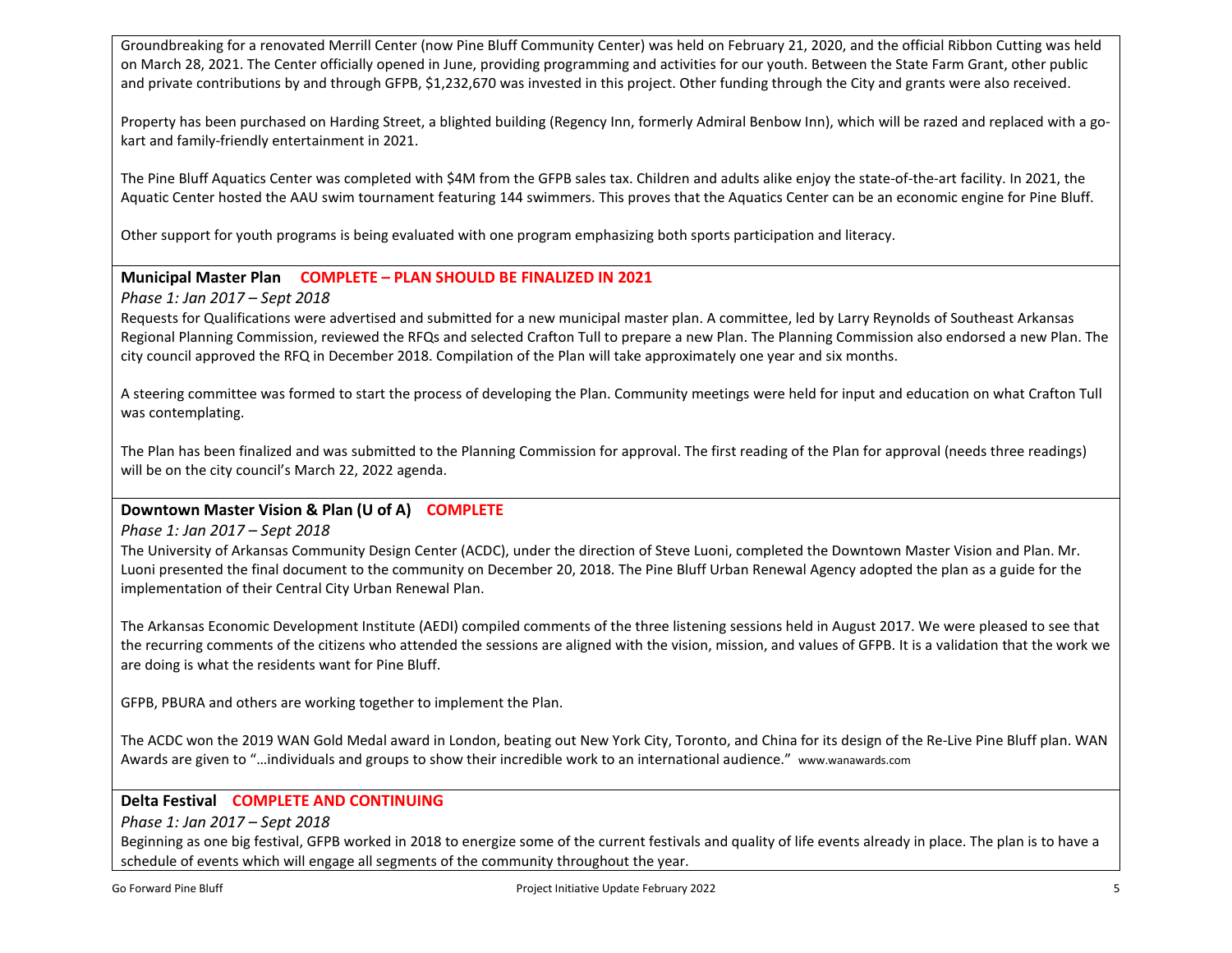Groundbreaking for a renovated Merrill Center (now Pine Bluff Community Center) was held on February 21, 2020, and the official Ribbon Cutting was held on March 28, 2021. The Center officially opened in June, providing programming and activities for our youth. Between the State Farm Grant, other public and private contributions by and through GFPB, \$1,232,670 was invested in this project. Other funding through the City and grants were also received.

Property has been purchased on Harding Street, a blighted building (Regency Inn, formerly Admiral Benbow Inn), which will be razed and replaced with a gokart and family-friendly entertainment in 2021.

The Pine Bluff Aquatics Center was completed with \$4M from the GFPB sales tax. Children and adults alike enjoy the state-of-the-art facility. In 2021, the Aquatic Center hosted the AAU swim tournament featuring 144 swimmers. This proves that the Aquatics Center can be an economic engine for Pine Bluff.

Other support for youth programs is being evaluated with one program emphasizing both sports participation and literacy.

# **Municipal Master Plan COMPLETE – PLAN SHOULD BE FINALIZED IN 2021**

*Phase 1: Jan 2017 – Sept 2018*

Requests for Qualifications were advertised and submitted for a new municipal master plan. A committee, led by Larry Reynolds of Southeast Arkansas Regional Planning Commission, reviewed the RFQs and selected Crafton Tull to prepare a new Plan. The Planning Commission also endorsed a new Plan. The city council approved the RFQ in December 2018. Compilation of the Plan will take approximately one year and six months.

A steering committee was formed to start the process of developing the Plan. Community meetings were held for input and education on what Crafton Tull was contemplating.

The Plan has been finalized and was submitted to the Planning Commission for approval. The first reading of the Plan for approval (needs three readings) will be on the city council's March 22, 2022 agenda.

# **Downtown Master Vision & Plan (U of A) COMPLETE**

*Phase 1: Jan 2017 – Sept 2018*

The University of Arkansas Community Design Center (ACDC), under the direction of Steve Luoni, completed the Downtown Master Vision and Plan. Mr. Luoni presented the final document to the community on December 20, 2018. The Pine Bluff Urban Renewal Agency adopted the plan as a guide for the implementation of their Central City Urban Renewal Plan.

The Arkansas Economic Development Institute (AEDI) compiled comments of the three listening sessions held in August 2017. We were pleased to see that the recurring comments of the citizens who attended the sessions are aligned with the vision, mission, and values of GFPB. It is a validation that the work we are doing is what the residents want for Pine Bluff.

GFPB, PBURA and others are working together to implement the Plan.

The ACDC won the 2019 WAN Gold Medal award in London, beating out New York City, Toronto, and China for its design of the Re-Live Pine Bluff plan. WAN Awards are given to "…individuals and groups to show their incredible work to an international audience." www.wanawards.com

# **Delta Festival COMPLETE AND CONTINUING**

*Phase 1: Jan 2017 – Sept 2018*

Beginning as one big festival, GFPB worked in 2018 to energize some of the current festivals and quality of life events already in place. The plan is to have a schedule of events which will engage all segments of the community throughout the year.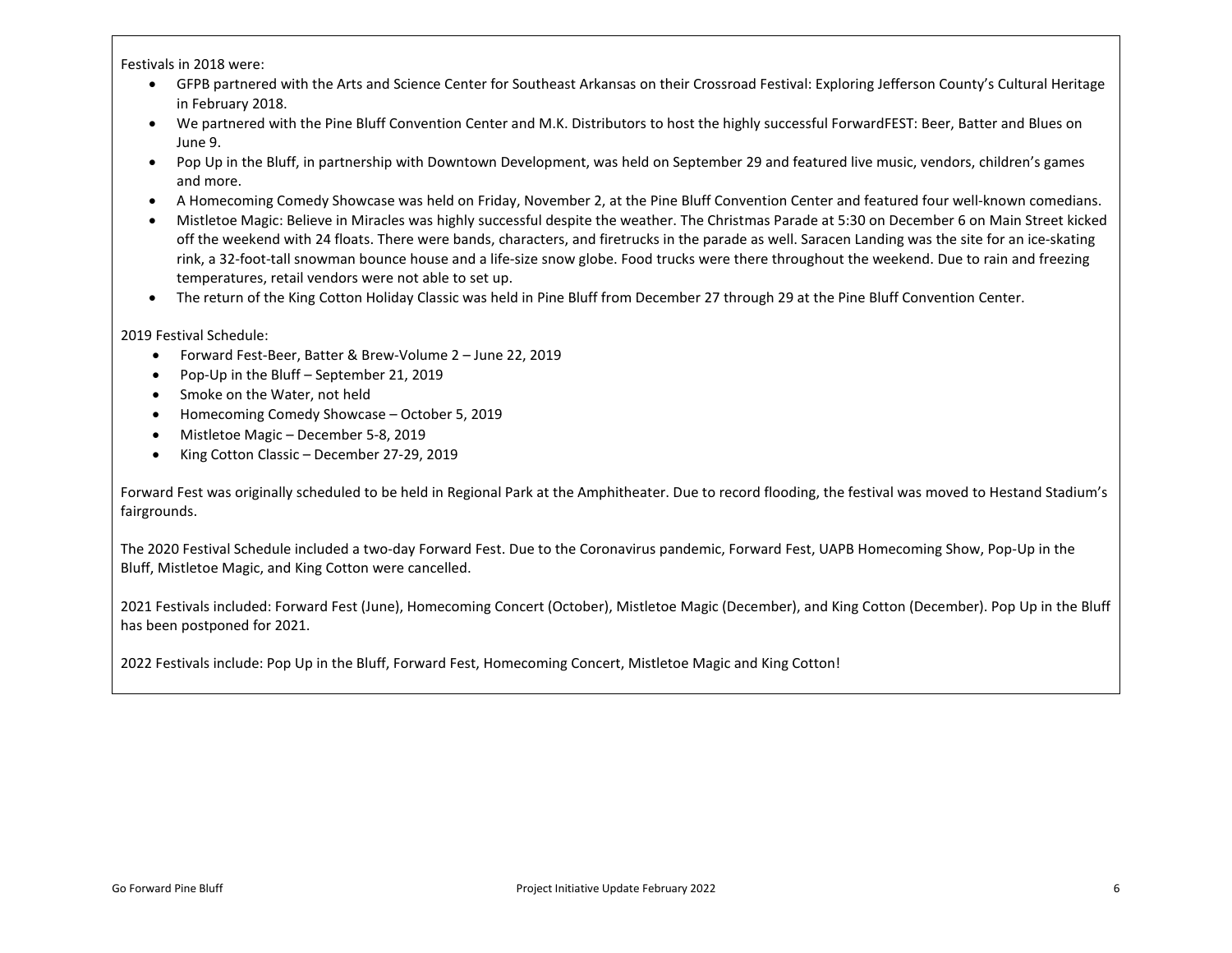Festivals in 2018 were:

- GFPB partnered with the Arts and Science Center for Southeast Arkansas on their Crossroad Festival: Exploring Jefferson County's Cultural Heritage in February 2018.
- We partnered with the Pine Bluff Convention Center and M.K. Distributors to host the highly successful ForwardFEST: Beer, Batter and Blues on June 9.
- Pop Up in the Bluff, in partnership with Downtown Development, was held on September 29 and featured live music, vendors, children's games and more.
- A Homecoming Comedy Showcase was held on Friday, November 2, at the Pine Bluff Convention Center and featured four well-known comedians.
- Mistletoe Magic: Believe in Miracles was highly successful despite the weather. The Christmas Parade at 5:30 on December 6 on Main Street kicked off the weekend with 24 floats. There were bands, characters, and firetrucks in the parade as well. Saracen Landing was the site for an ice-skating rink, a 32-foot-tall snowman bounce house and a life-size snow globe. Food trucks were there throughout the weekend. Due to rain and freezing temperatures, retail vendors were not able to set up.
- The return of the King Cotton Holiday Classic was held in Pine Bluff from December 27 through 29 at the Pine Bluff Convention Center.

2019 Festival Schedule:

- Forward Fest-Beer, Batter & Brew-Volume 2 June 22, 2019
- Pop-Up in the Bluff September 21, 2019
- Smoke on the Water, not held
- Homecoming Comedy Showcase October 5, 2019
- Mistletoe Magic December 5-8, 2019
- King Cotton Classic December 27-29, 2019

Forward Fest was originally scheduled to be held in Regional Park at the Amphitheater. Due to record flooding, the festival was moved to Hestand Stadium's fairgrounds.

The 2020 Festival Schedule included a two-day Forward Fest. Due to the Coronavirus pandemic, Forward Fest, UAPB Homecoming Show, Pop-Up in the Bluff, Mistletoe Magic, and King Cotton were cancelled.

2021 Festivals included: Forward Fest (June), Homecoming Concert (October), Mistletoe Magic (December), and King Cotton (December). Pop Up in the Bluff has been postponed for 2021.

2022 Festivals include: Pop Up in the Bluff, Forward Fest, Homecoming Concert, Mistletoe Magic and King Cotton!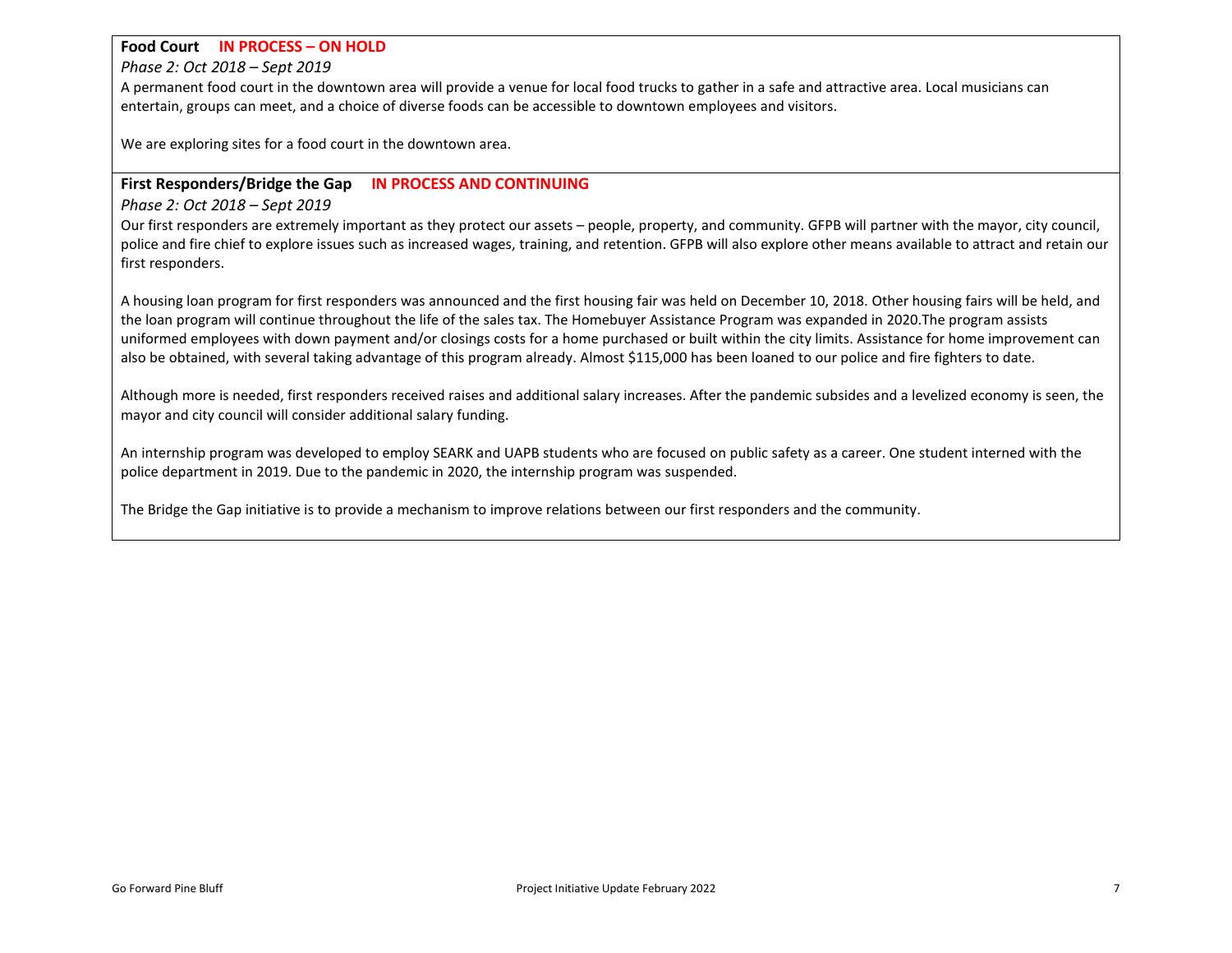#### **Food Court IN PROCESS – ON HOLD**

*Phase 2: Oct 2018 – Sept 2019*

A permanent food court in the downtown area will provide a venue for local food trucks to gather in a safe and attractive area. Local musicians can entertain, groups can meet, and a choice of diverse foods can be accessible to downtown employees and visitors.

We are exploring sites for a food court in the downtown area.

#### **First Responders/Bridge the Gap IN PROCESS AND CONTINUING**

#### *Phase 2: Oct 2018 – Sept 2019*

Our first responders are extremely important as they protect our assets – people, property, and community. GFPB will partner with the mayor, city council, police and fire chief to explore issues such as increased wages, training, and retention. GFPB will also explore other means available to attract and retain our first responders.

A housing loan program for first responders was announced and the first housing fair was held on December 10, 2018. Other housing fairs will be held, and the loan program will continue throughout the life of the sales tax. The Homebuyer Assistance Program was expanded in 2020.The program assists uniformed employees with down payment and/or closings costs for a home purchased or built within the city limits. Assistance for home improvement can also be obtained, with several taking advantage of this program already. Almost \$115,000 has been loaned to our police and fire fighters to date.

Although more is needed, first responders received raises and additional salary increases. After the pandemic subsides and a levelized economy is seen, the mayor and city council will consider additional salary funding.

An internship program was developed to employ SEARK and UAPB students who are focused on public safety as a career. One student interned with the police department in 2019. Due to the pandemic in 2020, the internship program was suspended.

The Bridge the Gap initiative is to provide a mechanism to improve relations between our first responders and the community.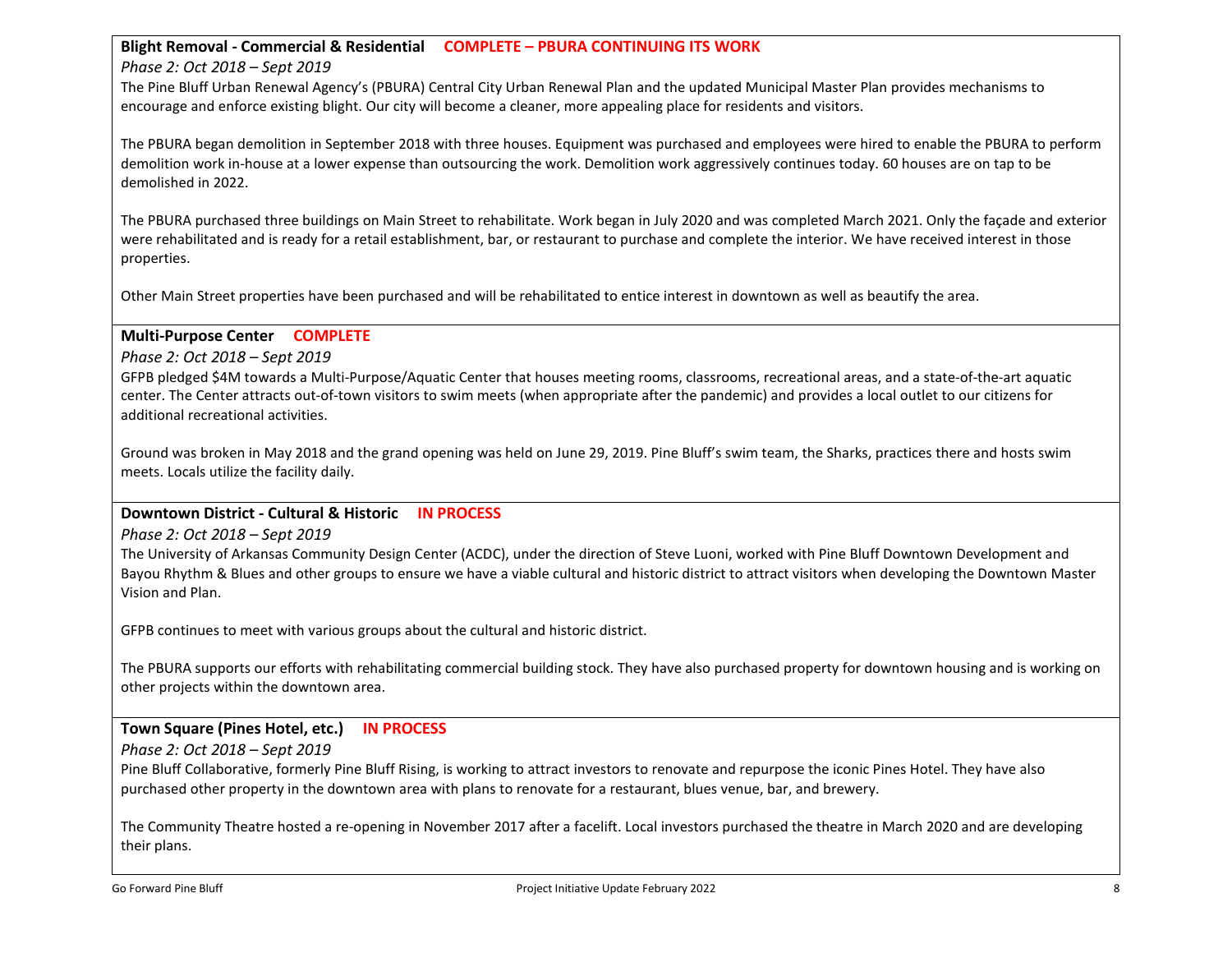#### **Blight Removal - Commercial & Residential COMPLETE – PBURA CONTINUING ITS WORK**

#### *Phase 2: Oct 2018 – Sept 2019*

The Pine Bluff Urban Renewal Agency's (PBURA) Central City Urban Renewal Plan and the updated Municipal Master Plan provides mechanisms to encourage and enforce existing blight. Our city will become a cleaner, more appealing place for residents and visitors.

The PBURA began demolition in September 2018 with three houses. Equipment was purchased and employees were hired to enable the PBURA to perform demolition work in-house at a lower expense than outsourcing the work. Demolition work aggressively continues today. 60 houses are on tap to be demolished in 2022.

The PBURA purchased three buildings on Main Street to rehabilitate. Work began in July 2020 and was completed March 2021. Only the façade and exterior were rehabilitated and is ready for a retail establishment, bar, or restaurant to purchase and complete the interior. We have received interest in those properties.

Other Main Street properties have been purchased and will be rehabilitated to entice interest in downtown as well as beautify the area.

#### **Multi-Purpose Center COMPLETE**

*Phase 2: Oct 2018 – Sept 2019*

GFPB pledged \$4M towards a Multi-Purpose/Aquatic Center that houses meeting rooms, classrooms, recreational areas, and a state-of-the-art aquatic center. The Center attracts out-of-town visitors to swim meets (when appropriate after the pandemic) and provides a local outlet to our citizens for additional recreational activities.

Ground was broken in May 2018 and the grand opening was held on June 29, 2019. Pine Bluff's swim team, the Sharks, practices there and hosts swim meets. Locals utilize the facility daily.

#### **Downtown District - Cultural & Historic IN PROCESS**

*Phase 2: Oct 2018 – Sept 2019*

The University of Arkansas Community Design Center (ACDC), under the direction of Steve Luoni, worked with Pine Bluff Downtown Development and Bayou Rhythm & Blues and other groups to ensure we have a viable cultural and historic district to attract visitors when developing the Downtown Master Vision and Plan.

GFPB continues to meet with various groups about the cultural and historic district.

The PBURA supports our efforts with rehabilitating commercial building stock. They have also purchased property for downtown housing and is working on other projects within the downtown area.

# **Town Square (Pines Hotel, etc.) IN PROCESS**

*Phase 2: Oct 2018 – Sept 2019*

Pine Bluff Collaborative, formerly Pine Bluff Rising, is working to attract investors to renovate and repurpose the iconic Pines Hotel. They have also purchased other property in the downtown area with plans to renovate for a restaurant, blues venue, bar, and brewery.

The Community Theatre hosted a re-opening in November 2017 after a facelift. Local investors purchased the theatre in March 2020 and are developing their plans.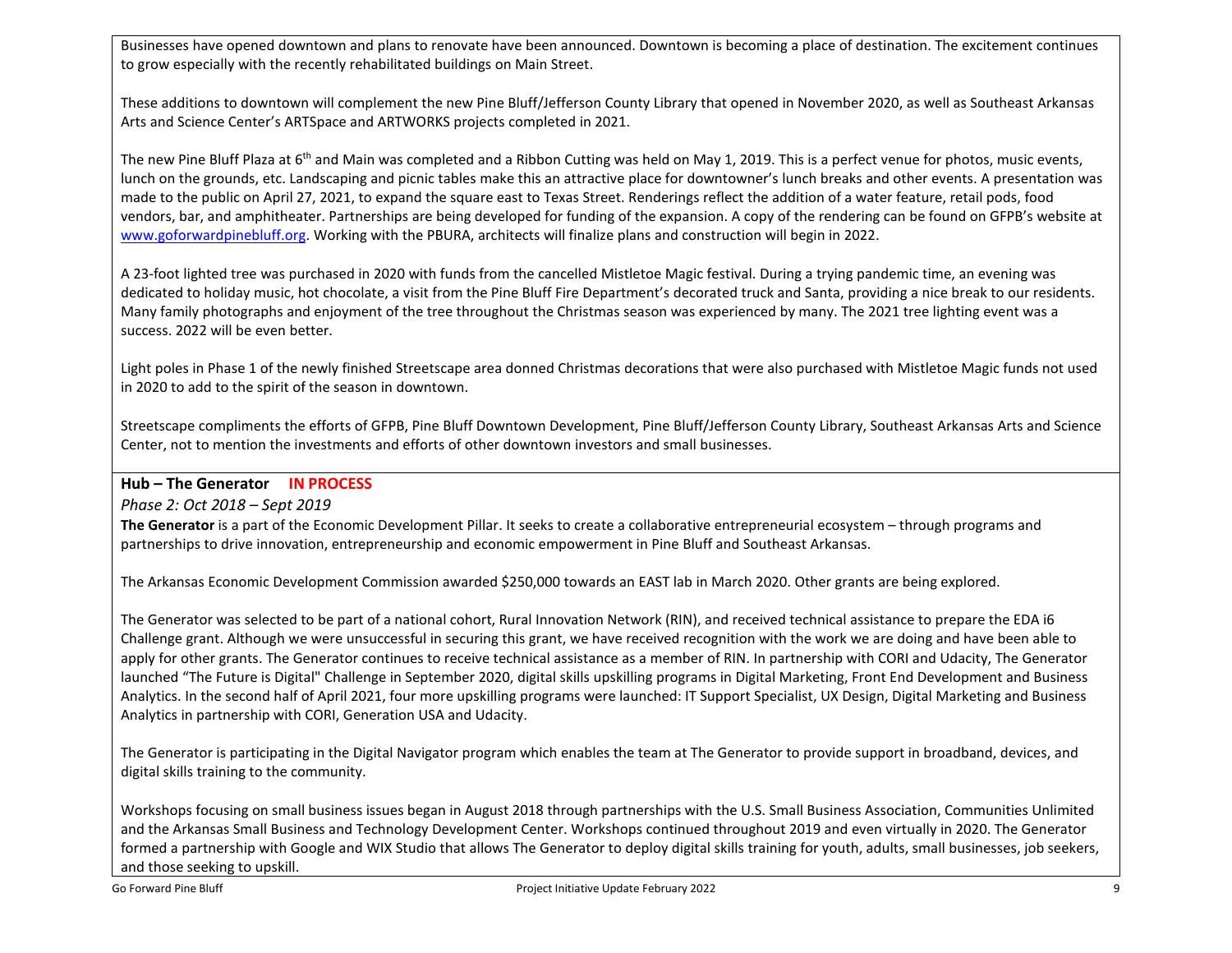Businesses have opened downtown and plans to renovate have been announced. Downtown is becoming a place of destination. The excitement continues to grow especially with the recently rehabilitated buildings on Main Street.

These additions to downtown will complement the new Pine Bluff/Jefferson County Library that opened in November 2020, as well as Southeast Arkansas Arts and Science Center's ARTSpace and ARTWORKS projects completed in 2021.

The new Pine Bluff Plaza at 6<sup>th</sup> and Main was completed and a Ribbon Cutting was held on May 1, 2019. This is a perfect venue for photos, music events, lunch on the grounds, etc. Landscaping and picnic tables make this an attractive place for downtowner's lunch breaks and other events. A presentation was made to the public on April 27, 2021, to expand the square east to Texas Street. Renderings reflect the addition of a water feature, retail pods, food vendors, bar, and amphitheater. Partnerships are being developed for funding of the expansion. A copy of the rendering can be found on GFPB's website at [www.goforwardpinebluff.org.](http://www.goforwardpinebluff.org/) Working with the PBURA, architects will finalize plans and construction will begin in 2022.

A 23-foot lighted tree was purchased in 2020 with funds from the cancelled Mistletoe Magic festival. During a trying pandemic time, an evening was dedicated to holiday music, hot chocolate, a visit from the Pine Bluff Fire Department's decorated truck and Santa, providing a nice break to our residents. Many family photographs and enjoyment of the tree throughout the Christmas season was experienced by many. The 2021 tree lighting event was a success. 2022 will be even better.

Light poles in Phase 1 of the newly finished Streetscape area donned Christmas decorations that were also purchased with Mistletoe Magic funds not used in 2020 to add to the spirit of the season in downtown.

Streetscape compliments the efforts of GFPB, Pine Bluff Downtown Development, Pine Bluff/Jefferson County Library, Southeast Arkansas Arts and Science Center, not to mention the investments and efforts of other downtown investors and small businesses.

**Hub – The Generator IN PROCESS**

*Phase 2: Oct 2018 – Sept 2019*

**The Generator** is a part of the Economic Development Pillar. It seeks to create a collaborative entrepreneurial ecosystem – through programs and partnerships to drive innovation, entrepreneurship and economic empowerment in Pine Bluff and Southeast Arkansas.

The Arkansas Economic Development Commission awarded \$250,000 towards an EAST lab in March 2020. Other grants are being explored.

The Generator was selected to be part of a national cohort, Rural Innovation Network (RIN), and received technical assistance to prepare the EDA i6 Challenge grant. Although we were unsuccessful in securing this grant, we have received recognition with the work we are doing and have been able to apply for other grants. The Generator continues to receive technical assistance as a member of RIN. In partnership with CORI and Udacity, The Generator launched "The Future is Digital" Challenge in September 2020, digital skills upskilling programs in Digital Marketing, Front End Development and Business Analytics. In the second half of April 2021, four more upskilling programs were launched: IT Support Specialist, UX Design, Digital Marketing and Business Analytics in partnership with CORI, Generation USA and Udacity.

The Generator is participating in the Digital Navigator program which enables the team at The Generator to provide support in broadband, devices, and digital skills training to the community.

Workshops focusing on small business issues began in August 2018 through partnerships with the U.S. Small Business Association, Communities Unlimited and the Arkansas Small Business and Technology Development Center. Workshops continued throughout 2019 and even virtually in 2020. The Generator formed a partnership with Google and WIX Studio that allows The Generator to deploy digital skills training for youth, adults, small businesses, job seekers, and those seeking to upskill.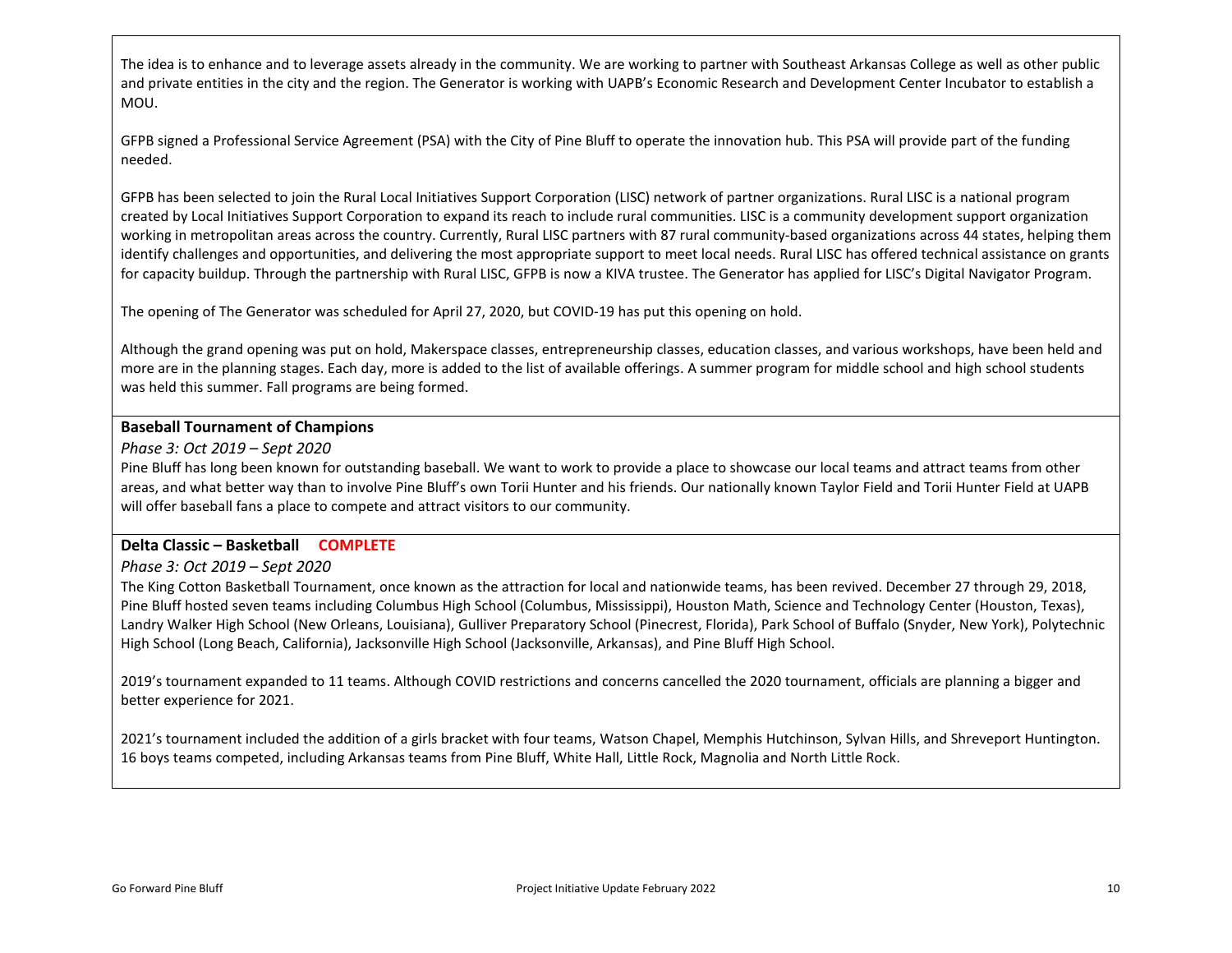The idea is to enhance and to leverage assets already in the community. We are working to partner with Southeast Arkansas College as well as other public and private entities in the city and the region. The Generator is working with UAPB's Economic Research and Development Center Incubator to establish a MOU.

GFPB signed a Professional Service Agreement (PSA) with the City of Pine Bluff to operate the innovation hub. This PSA will provide part of the funding needed.

GFPB has been selected to join the Rural Local Initiatives Support Corporation (LISC) network of partner organizations. Rural LISC is a national program created by Local Initiatives Support Corporation to expand its reach to include rural communities. LISC is a community development support organization working in metropolitan areas across the country. Currently, Rural LISC partners with 87 rural community-based organizations across 44 states, helping them identify challenges and opportunities, and delivering the most appropriate support to meet local needs. Rural LISC has offered technical assistance on grants for capacity buildup. Through the partnership with Rural LISC, GFPB is now a KIVA trustee. The Generator has applied for LISC's Digital Navigator Program.

The opening of The Generator was scheduled for April 27, 2020, but COVID-19 has put this opening on hold.

Although the grand opening was put on hold, Makerspace classes, entrepreneurship classes, education classes, and various workshops, have been held and more are in the planning stages. Each day, more is added to the list of available offerings. A summer program for middle school and high school students was held this summer. Fall programs are being formed.

#### **Baseball Tournament of Champions**

#### *Phase 3: Oct 2019 – Sept 2020*

Pine Bluff has long been known for outstanding baseball. We want to work to provide a place to showcase our local teams and attract teams from other areas, and what better way than to involve Pine Bluff's own Torii Hunter and his friends. Our nationally known Taylor Field and Torii Hunter Field at UAPB will offer baseball fans a place to compete and attract visitors to our community.

# **Delta Classic – Basketball COMPLETE**

# *Phase 3: Oct 2019 – Sept 2020*

The King Cotton Basketball Tournament, once known as the attraction for local and nationwide teams, has been revived. December 27 through 29, 2018, Pine Bluff hosted seven teams including Columbus High School (Columbus, Mississippi), Houston Math, Science and Technology Center (Houston, Texas), Landry Walker High School (New Orleans, Louisiana), Gulliver Preparatory School (Pinecrest, Florida), Park School of Buffalo (Snyder, New York), Polytechnic High School (Long Beach, California), Jacksonville High School (Jacksonville, Arkansas), and Pine Bluff High School.

2019's tournament expanded to 11 teams. Although COVID restrictions and concerns cancelled the 2020 tournament, officials are planning a bigger and better experience for 2021.

2021's tournament included the addition of a girls bracket with four teams, Watson Chapel, Memphis Hutchinson, Sylvan Hills, and Shreveport Huntington. 16 boys teams competed, including Arkansas teams from Pine Bluff, White Hall, Little Rock, Magnolia and North Little Rock.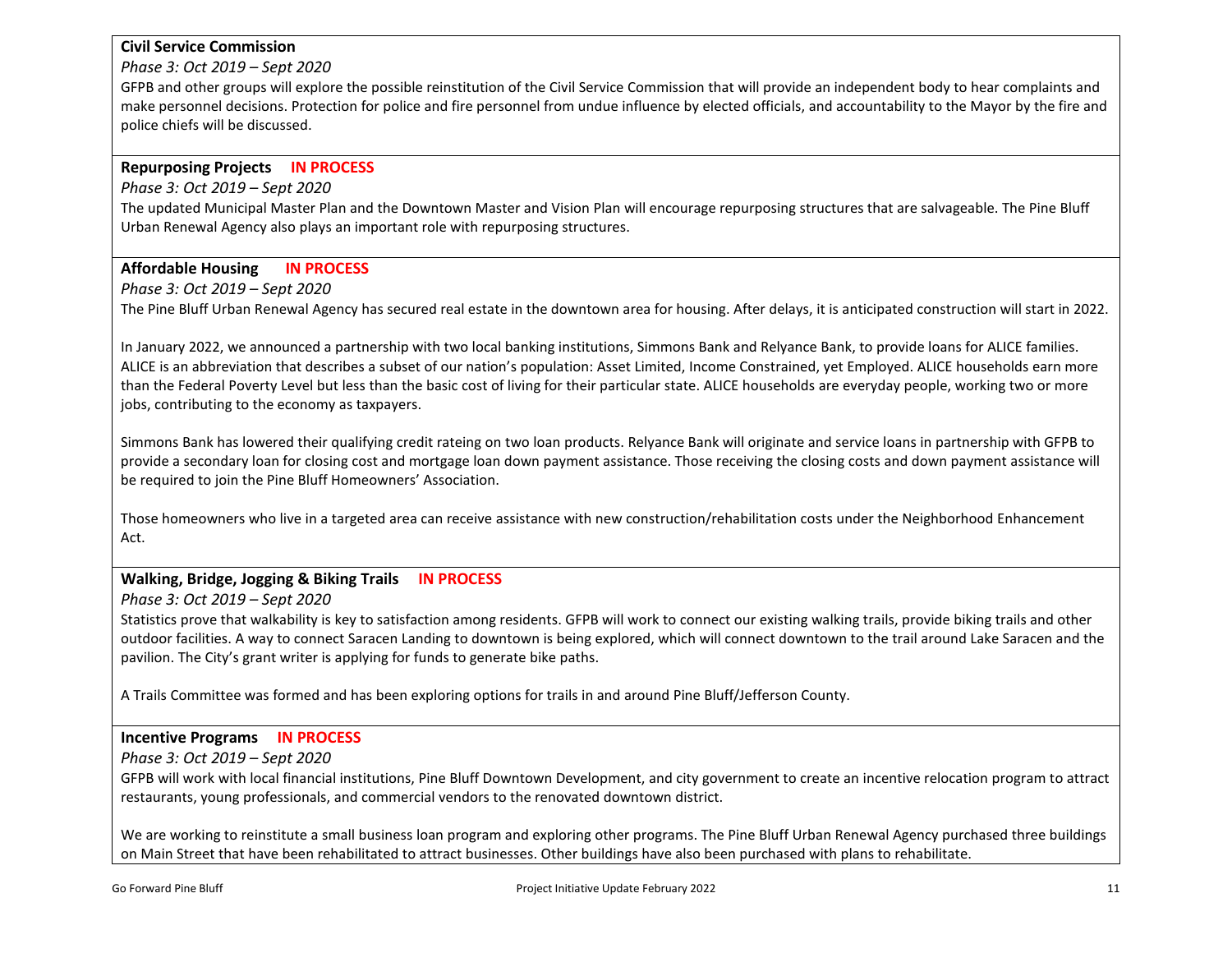# **Civil Service Commission**

*Phase 3: Oct 2019 – Sept 2020*

GFPB and other groups will explore the possible reinstitution of the Civil Service Commission that will provide an independent body to hear complaints and make personnel decisions. Protection for police and fire personnel from undue influence by elected officials, and accountability to the Mayor by the fire and police chiefs will be discussed.

# **Repurposing Projects IN PROCESS**

*Phase 3: Oct 2019 – Sept 2020*

The updated Municipal Master Plan and the Downtown Master and Vision Plan will encourage repurposing structures that are salvageable. The Pine Bluff Urban Renewal Agency also plays an important role with repurposing structures.

# **Affordable Housing IN PROCESS**

*Phase 3: Oct 2019 – Sept 2020*

The Pine Bluff Urban Renewal Agency has secured real estate in the downtown area for housing. After delays, it is anticipated construction will start in 2022.

In January 2022, we announced a partnership with two local banking institutions, Simmons Bank and Relyance Bank, to provide loans for ALICE families. ALICE is an abbreviation that describes a subset of our nation's population: Asset Limited, Income Constrained, yet Employed. ALICE households earn more than the Federal Poverty Level but less than the basic cost of living for their particular state. ALICE households are everyday people, working two or more jobs, contributing to the economy as taxpayers.

Simmons Bank has lowered their qualifying credit rateing on two loan products. Relyance Bank will originate and service loans in partnership with GFPB to provide a secondary loan for closing cost and mortgage loan down payment assistance. Those receiving the closing costs and down payment assistance will be required to join the Pine Bluff Homeowners' Association.

Those homeowners who live in a targeted area can receive assistance with new construction/rehabilitation costs under the Neighborhood Enhancement Act.

# **Walking, Bridge, Jogging & Biking Trails IN PROCESS**

*Phase 3: Oct 2019 – Sept 2020*

Statistics prove that walkability is key to satisfaction among residents. GFPB will work to connect our existing walking trails, provide biking trails and other outdoor facilities. A way to connect Saracen Landing to downtown is being explored, which will connect downtown to the trail around Lake Saracen and the pavilion. The City's grant writer is applying for funds to generate bike paths.

A Trails Committee was formed and has been exploring options for trails in and around Pine Bluff/Jefferson County.

# **Incentive Programs IN PROCESS**

*Phase 3: Oct 2019 – Sept 2020*

GFPB will work with local financial institutions, Pine Bluff Downtown Development, and city government to create an incentive relocation program to attract restaurants, young professionals, and commercial vendors to the renovated downtown district.

We are working to reinstitute a small business loan program and exploring other programs. The Pine Bluff Urban Renewal Agency purchased three buildings on Main Street that have been rehabilitated to attract businesses. Other buildings have also been purchased with plans to rehabilitate.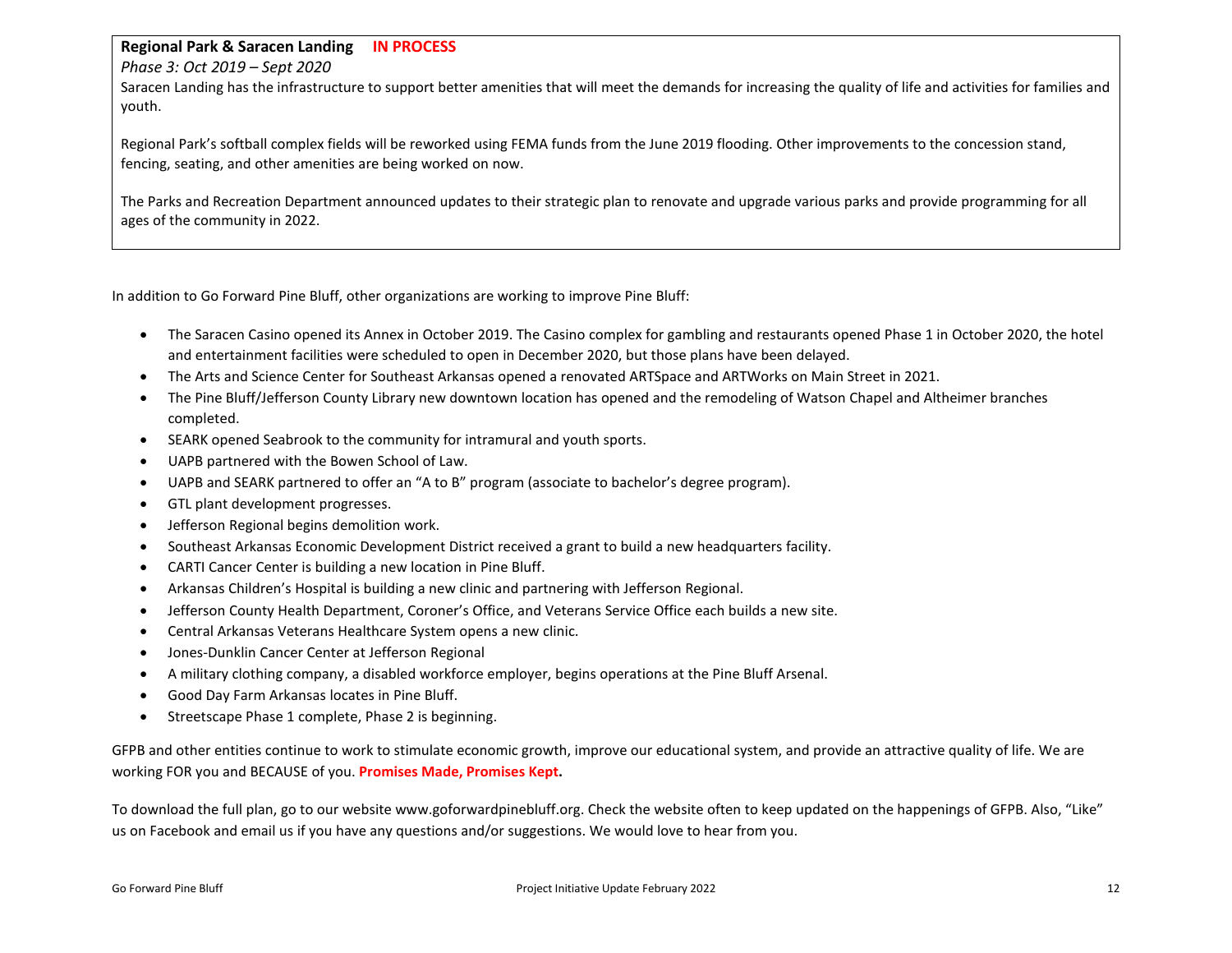#### **Regional Park & Saracen Landing IN PROCESS**

#### *Phase 3: Oct 2019 – Sept 2020*

Saracen Landing has the infrastructure to support better amenities that will meet the demands for increasing the quality of life and activities for families and youth.

Regional Park's softball complex fields will be reworked using FEMA funds from the June 2019 flooding. Other improvements to the concession stand, fencing, seating, and other amenities are being worked on now.

The Parks and Recreation Department announced updates to their strategic plan to renovate and upgrade various parks and provide programming for all ages of the community in 2022.

In addition to Go Forward Pine Bluff, other organizations are working to improve Pine Bluff:

- The Saracen Casino opened its Annex in October 2019. The Casino complex for gambling and restaurants opened Phase 1 in October 2020, the hotel and entertainment facilities were scheduled to open in December 2020, but those plans have been delayed.
- The Arts and Science Center for Southeast Arkansas opened a renovated ARTSpace and ARTWorks on Main Street in 2021.
- The Pine Bluff/Jefferson County Library new downtown location has opened and the remodeling of Watson Chapel and Altheimer branches completed.
- SEARK opened Seabrook to the community for intramural and youth sports.
- UAPB partnered with the Bowen School of Law.
- UAPB and SEARK partnered to offer an "A to B" program (associate to bachelor's degree program).
- GTL plant development progresses.
- Jefferson Regional begins demolition work.
- Southeast Arkansas Economic Development District received a grant to build a new headquarters facility.
- CARTI Cancer Center is building a new location in Pine Bluff.
- Arkansas Children's Hospital is building a new clinic and partnering with Jefferson Regional.
- Jefferson County Health Department, Coroner's Office, and Veterans Service Office each builds a new site.
- Central Arkansas Veterans Healthcare System opens a new clinic.
- Jones-Dunklin Cancer Center at Jefferson Regional
- A military clothing company, a disabled workforce employer, begins operations at the Pine Bluff Arsenal.
- Good Day Farm Arkansas locates in Pine Bluff.
- Streetscape Phase 1 complete, Phase 2 is beginning.

GFPB and other entities continue to work to stimulate economic growth, improve our educational system, and provide an attractive quality of life. We are working FOR you and BECAUSE of you. **Promises Made, Promises Kept.**

To download the full plan, go to our website www.goforwardpinebluff.org. Check the website often to keep updated on the happenings of GFPB. Also, "Like" us on Facebook and email us if you have any questions and/or suggestions. We would love to hear from you.